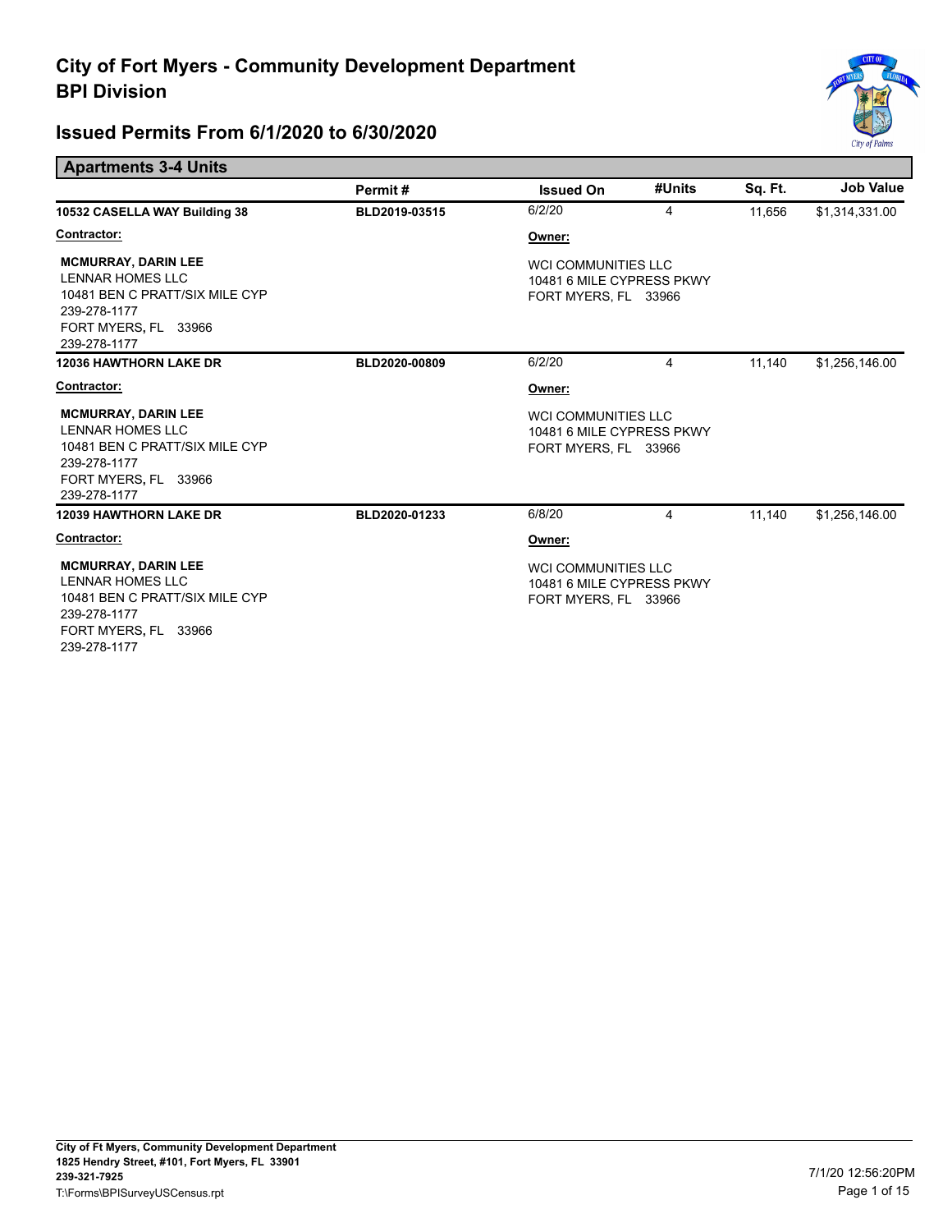

#### **Apartments 3-4 Units**

|                                                                                                                                                 | Permit#       | <b>Issued On</b>                                                                | #Units | Sq. Ft. | <b>Job Value</b> |
|-------------------------------------------------------------------------------------------------------------------------------------------------|---------------|---------------------------------------------------------------------------------|--------|---------|------------------|
| 10532 CASELLA WAY Building 38                                                                                                                   | BLD2019-03515 | 6/2/20                                                                          | 4      | 11,656  | \$1,314,331.00   |
| Contractor:                                                                                                                                     |               | Owner:                                                                          |        |         |                  |
| <b>MCMURRAY, DARIN LEE</b><br><b>LENNAR HOMES LLC</b><br>10481 BEN C PRATT/SIX MILE CYP<br>239-278-1177<br>FORT MYERS, FL 33966<br>239-278-1177 |               | WCI COMMUNITIES LLC<br>10481 6 MILE CYPRESS PKWY<br>FORT MYERS, FL 33966        |        |         |                  |
| <b>12036 HAWTHORN LAKE DR</b>                                                                                                                   | BLD2020-00809 | 6/2/20                                                                          | 4      | 11,140  | \$1,256,146.00   |
| Contractor:                                                                                                                                     |               | Owner:                                                                          |        |         |                  |
| <b>MCMURRAY, DARIN LEE</b><br><b>LENNAR HOMES LLC</b><br>10481 BEN C PRATT/SIX MILE CYP<br>239-278-1177<br>FORT MYERS, FL 33966<br>239-278-1177 |               | <b>WCI COMMUNITIES LLC</b><br>10481 6 MILE CYPRESS PKWY<br>FORT MYERS, FL 33966 |        |         |                  |
| <b>12039 HAWTHORN LAKE DR</b>                                                                                                                   | BLD2020-01233 | 6/8/20                                                                          | 4      | 11.140  | \$1,256,146.00   |
| Contractor:                                                                                                                                     |               | Owner:                                                                          |        |         |                  |
| <b>MCMURRAY, DARIN LEE</b><br><b>LENNAR HOMES LLC</b><br>10481 BEN C PRATT/SIX MILE CYP<br>239-278-1177<br>FORT MYERS, FL 33966<br>239-278-1177 |               | <b>WCI COMMUNITIES LLC</b><br>10481 6 MILE CYPRESS PKWY<br>FORT MYERS, FL 33966 |        |         |                  |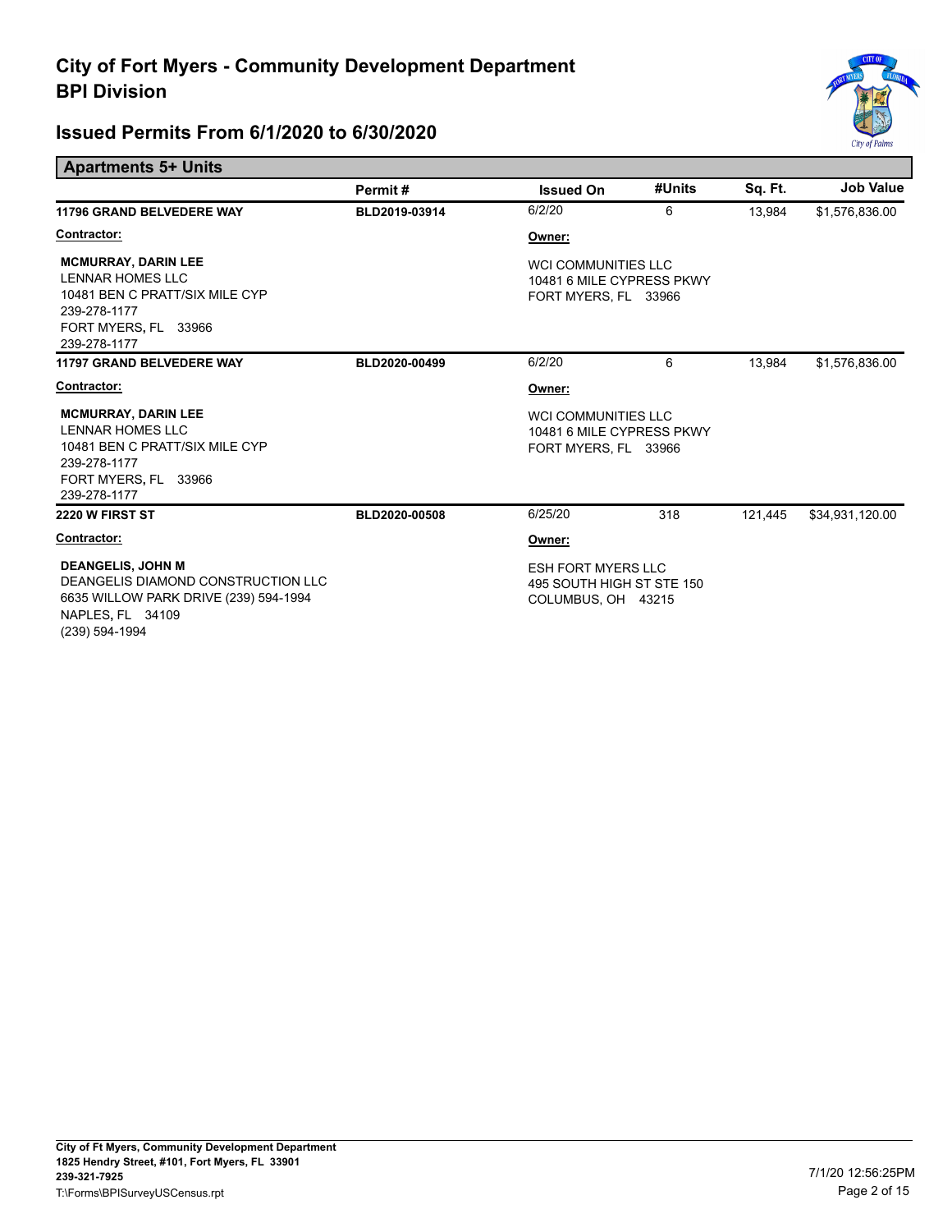

| <b>Apartments 5+ Units</b>                                                                                                                    |               |                                                                                 |        |         |                  |
|-----------------------------------------------------------------------------------------------------------------------------------------------|---------------|---------------------------------------------------------------------------------|--------|---------|------------------|
|                                                                                                                                               | Permit#       | <b>Issued On</b>                                                                | #Units | Sq. Ft. | <b>Job Value</b> |
| <b>11796 GRAND BELVEDERE WAY</b>                                                                                                              | BLD2019-03914 | 6/2/20                                                                          | 6      | 13,984  | \$1,576,836.00   |
| Contractor:                                                                                                                                   |               | Owner:                                                                          |        |         |                  |
| <b>MCMURRAY, DARIN LEE</b><br>LENNAR HOMES LLC<br>10481 BEN C PRATT/SIX MILE CYP<br>239-278-1177<br>FORT MYERS, FL 33966<br>239-278-1177      |               | <b>WCI COMMUNITIES LLC</b><br>10481 6 MILE CYPRESS PKWY<br>FORT MYERS, FL 33966 |        |         |                  |
| <b>11797 GRAND BELVEDERE WAY</b>                                                                                                              | BLD2020-00499 | 6/2/20                                                                          | 6      | 13.984  | \$1,576,836.00   |
| Contractor:                                                                                                                                   |               | Owner:                                                                          |        |         |                  |
| <b>MCMURRAY, DARIN LEE</b><br>LENNAR HOMES LLC<br>10481 BEN C PRATT/SIX MILE CYP<br>239-278-1177<br>FORT MYERS, FL 33966<br>239-278-1177      |               | <b>WCI COMMUNITIES LLC</b><br>10481 6 MILE CYPRESS PKWY<br>FORT MYERS, FL 33966 |        |         |                  |
| 2220 W FIRST ST                                                                                                                               | BLD2020-00508 | 6/25/20                                                                         | 318    | 121,445 | \$34,931,120.00  |
| Contractor:                                                                                                                                   |               | Owner:                                                                          |        |         |                  |
| <b>DEANGELIS, JOHN M</b><br>DEANGELIS DIAMOND CONSTRUCTION LLC<br>6635 WILLOW PARK DRIVE (239) 594-1994<br>NAPLES, FL 34109<br>(239) 594-1994 |               | <b>ESH FORT MYERS LLC</b><br>495 SOUTH HIGH ST STE 150<br>COLUMBUS, OH 43215    |        |         |                  |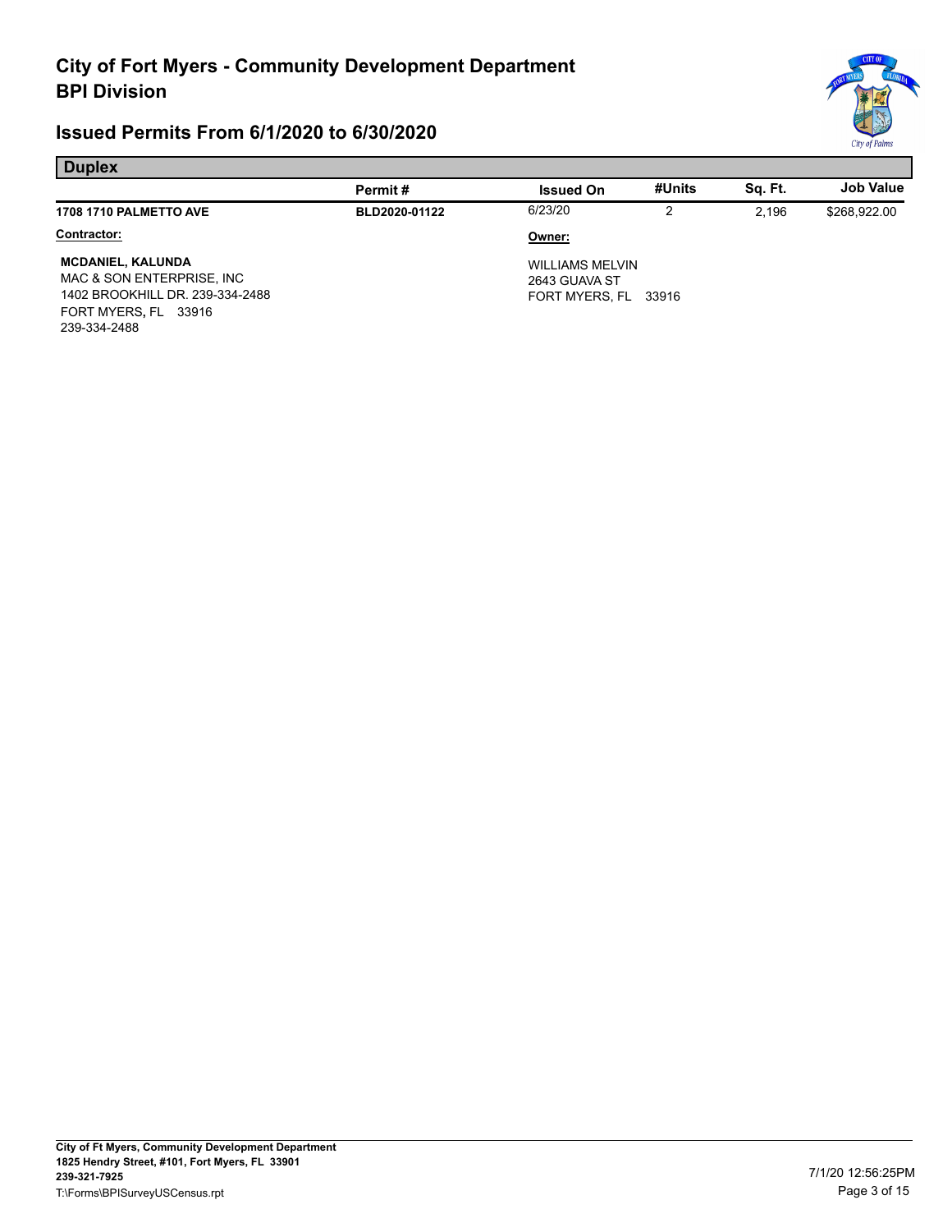

| <b>Duplex</b>                                                                                                                    |               |                                                                 |        |         |                  |
|----------------------------------------------------------------------------------------------------------------------------------|---------------|-----------------------------------------------------------------|--------|---------|------------------|
|                                                                                                                                  | Permit#       | <b>Issued On</b>                                                | #Units | Sq. Ft. | <b>Job Value</b> |
| <b>1708 1710 PALMETTO AVE</b>                                                                                                    | BLD2020-01122 | 6/23/20                                                         | 2      | 2.196   | \$268,922.00     |
| Contractor:                                                                                                                      |               | Owner:                                                          |        |         |                  |
| <b>MCDANIEL, KALUNDA</b><br>MAC & SON ENTERPRISE, INC<br>1402 BROOKHILL DR. 239-334-2488<br>FORT MYERS, FL 33916<br>239-334-2488 |               | <b>WILLIAMS MELVIN</b><br>2643 GUAVA ST<br>FORT MYERS, FL 33916 |        |         |                  |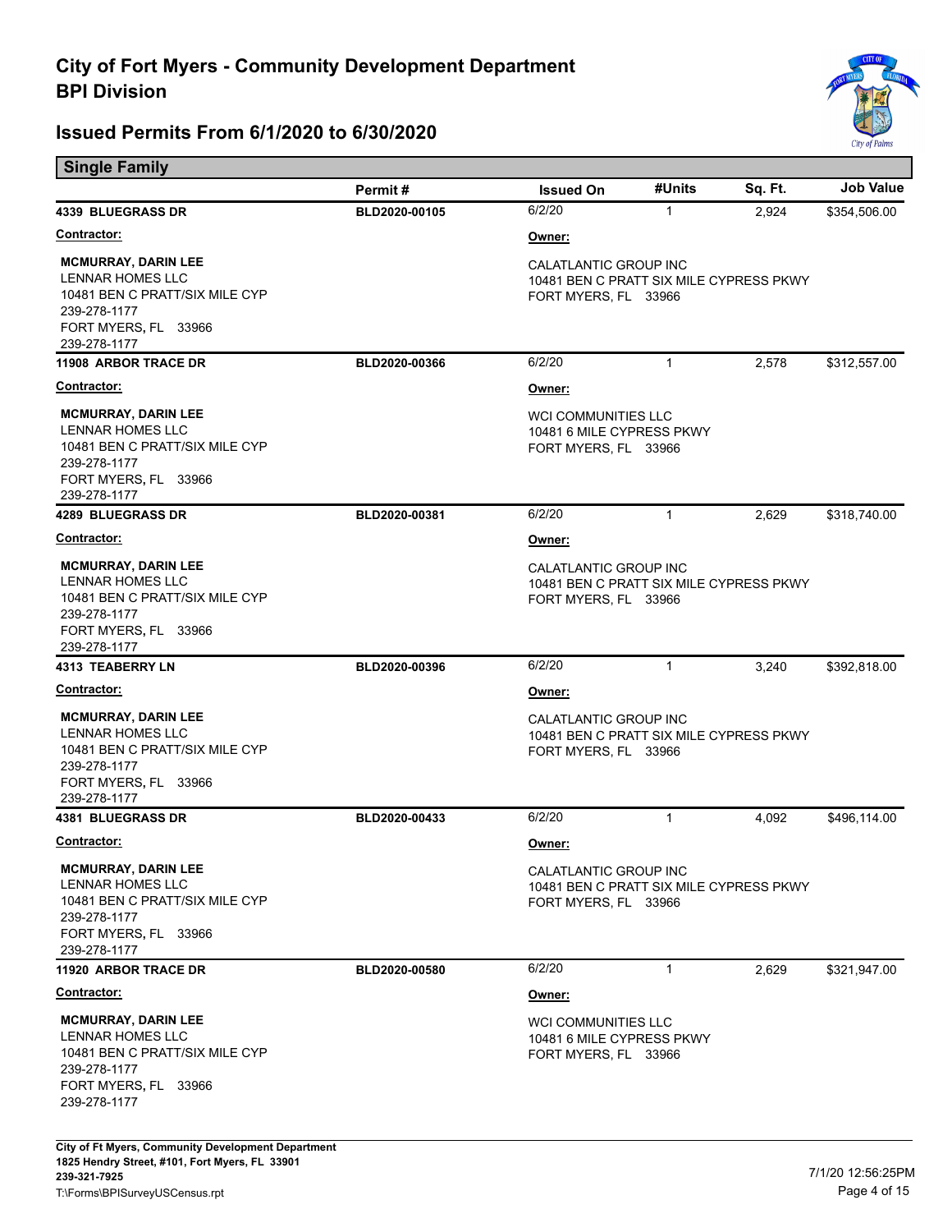

| <b>Single Family</b>                                                                                                                     |               |                                                                                          |              |         |                  |  |
|------------------------------------------------------------------------------------------------------------------------------------------|---------------|------------------------------------------------------------------------------------------|--------------|---------|------------------|--|
|                                                                                                                                          | Permit#       | <b>Issued On</b>                                                                         | #Units       | Sq. Ft. | <b>Job Value</b> |  |
| <b>4339 BLUEGRASS DR</b>                                                                                                                 | BLD2020-00105 | 6/2/20                                                                                   | $\mathbf{1}$ | 2,924   | \$354,506.00     |  |
| <b>Contractor:</b>                                                                                                                       |               | Owner:                                                                                   |              |         |                  |  |
| <b>MCMURRAY, DARIN LEE</b><br>LENNAR HOMES LLC<br>10481 BEN C PRATT/SIX MILE CYP<br>239-278-1177<br>FORT MYERS, FL 33966<br>239-278-1177 |               | CALATLANTIC GROUP INC<br>10481 BEN C PRATT SIX MILE CYPRESS PKWY<br>FORT MYERS, FL 33966 |              |         |                  |  |
| 11908 ARBOR TRACE DR                                                                                                                     | BLD2020-00366 | 6/2/20                                                                                   | $\mathbf{1}$ | 2,578   | \$312,557.00     |  |
| Contractor:                                                                                                                              |               | <u>Owner:</u>                                                                            |              |         |                  |  |
| <b>MCMURRAY, DARIN LEE</b><br>LENNAR HOMES LLC<br>10481 BEN C PRATT/SIX MILE CYP<br>239-278-1177<br>FORT MYERS, FL 33966<br>239-278-1177 |               | <b>WCI COMMUNITIES LLC</b><br>10481 6 MILE CYPRESS PKWY<br>FORT MYERS, FL 33966          |              |         |                  |  |
| <b>4289 BLUEGRASS DR</b>                                                                                                                 | BLD2020-00381 | 6/2/20                                                                                   | $\mathbf{1}$ | 2,629   | \$318,740.00     |  |
| <u>Contractor:</u>                                                                                                                       |               | Owner:                                                                                   |              |         |                  |  |
| <b>MCMURRAY, DARIN LEE</b><br>LENNAR HOMES LLC<br>10481 BEN C PRATT/SIX MILE CYP<br>239-278-1177<br>FORT MYERS, FL 33966<br>239-278-1177 |               | CALATLANTIC GROUP INC<br>10481 BEN C PRATT SIX MILE CYPRESS PKWY<br>FORT MYERS, FL 33966 |              |         |                  |  |
| <b>4313 TEABERRY LN</b>                                                                                                                  | BLD2020-00396 | 6/2/20                                                                                   | $\mathbf{1}$ | 3,240   | \$392,818.00     |  |
| <u>Contractor:</u>                                                                                                                       |               | <u>Owner:</u>                                                                            |              |         |                  |  |
| <b>MCMURRAY, DARIN LEE</b><br>LENNAR HOMES LLC<br>10481 BEN C PRATT/SIX MILE CYP<br>239-278-1177<br>FORT MYERS, FL 33966<br>239-278-1177 |               | CALATLANTIC GROUP INC<br>10481 BEN C PRATT SIX MILE CYPRESS PKWY<br>FORT MYERS, FL 33966 |              |         |                  |  |
| <b>4381 BLUEGRASS DR</b>                                                                                                                 | BLD2020-00433 | 6/2/20                                                                                   | $\mathbf{1}$ | 4.092   | \$496,114.00     |  |
| Contractor:                                                                                                                              |               | Owner:                                                                                   |              |         |                  |  |
| <b>MCMURRAY, DARIN LEE</b><br>LENNAR HOMES LLC<br>10481 BEN C PRATT/SIX MILE CYP<br>239-278-1177<br>FORT MYERS, FL 33966<br>239-278-1177 |               | CALATLANTIC GROUP INC<br>10481 BEN C PRATT SIX MILE CYPRESS PKWY<br>FORT MYERS, FL 33966 |              |         |                  |  |
| 11920 ARBOR TRACE DR                                                                                                                     | BLD2020-00580 | 6/2/20                                                                                   | $\mathbf{1}$ | 2,629   | \$321,947.00     |  |
| <b>Contractor:</b>                                                                                                                       |               | <u>Owner:</u>                                                                            |              |         |                  |  |
| <b>MCMURRAY, DARIN LEE</b><br>LENNAR HOMES LLC<br>10481 BEN C PRATT/SIX MILE CYP<br>239-278-1177<br>FORT MYERS, FL 33966<br>239-278-1177 |               | <b>WCI COMMUNITIES LLC</b><br>10481 6 MILE CYPRESS PKWY<br>FORT MYERS, FL 33966          |              |         |                  |  |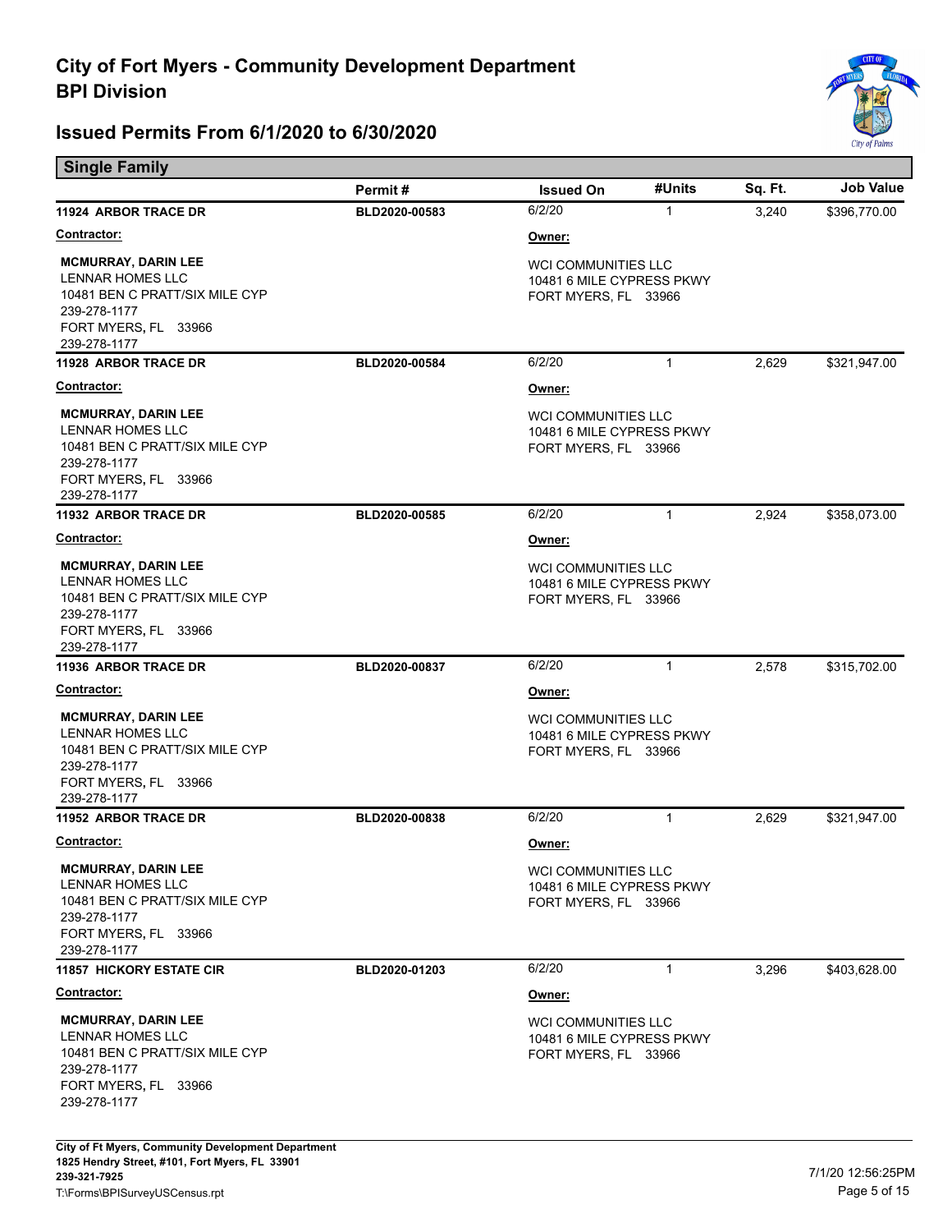

| <b>Single Family</b>                                                                                                                     |               |                                                                                 |              |         |                  |
|------------------------------------------------------------------------------------------------------------------------------------------|---------------|---------------------------------------------------------------------------------|--------------|---------|------------------|
|                                                                                                                                          | Permit#       | <b>Issued On</b>                                                                | #Units       | Sq. Ft. | <b>Job Value</b> |
| <b>11924 ARBOR TRACE DR</b>                                                                                                              | BLD2020-00583 | 6/2/20                                                                          | $\mathbf{1}$ | 3,240   | \$396,770.00     |
| <u>Contractor:</u>                                                                                                                       |               | Owner:                                                                          |              |         |                  |
| <b>MCMURRAY, DARIN LEE</b><br>LENNAR HOMES LLC<br>10481 BEN C PRATT/SIX MILE CYP<br>239-278-1177<br>FORT MYERS, FL 33966<br>239-278-1177 |               | <b>WCI COMMUNITIES LLC</b><br>10481 6 MILE CYPRESS PKWY<br>FORT MYERS, FL 33966 |              |         |                  |
| 11928 ARBOR TRACE DR                                                                                                                     | BLD2020-00584 | 6/2/20                                                                          | $\mathbf{1}$ | 2,629   | \$321,947.00     |
| <u>Contractor:</u>                                                                                                                       |               | Owner:                                                                          |              |         |                  |
| <b>MCMURRAY, DARIN LEE</b><br>LENNAR HOMES LLC<br>10481 BEN C PRATT/SIX MILE CYP<br>239-278-1177<br>FORT MYERS, FL 33966<br>239-278-1177 |               | <b>WCI COMMUNITIES LLC</b><br>10481 6 MILE CYPRESS PKWY<br>FORT MYERS, FL 33966 |              |         |                  |
| <b>11932 ARBOR TRACE DR</b>                                                                                                              | BLD2020-00585 | 6/2/20                                                                          | $\mathbf{1}$ | 2,924   | \$358,073.00     |
| <u>Contractor:</u>                                                                                                                       |               | Owner:                                                                          |              |         |                  |
| <b>MCMURRAY, DARIN LEE</b><br>LENNAR HOMES LLC<br>10481 BEN C PRATT/SIX MILE CYP<br>239-278-1177<br>FORT MYERS, FL 33966<br>239-278-1177 |               | <b>WCI COMMUNITIES LLC</b><br>10481 6 MILE CYPRESS PKWY<br>FORT MYERS, FL 33966 |              |         |                  |
| <b>11936 ARBOR TRACE DR</b>                                                                                                              | BLD2020-00837 | 6/2/20                                                                          | $\mathbf{1}$ | 2,578   | \$315,702.00     |
| <u>Contractor:</u>                                                                                                                       |               | Owner:                                                                          |              |         |                  |
| <b>MCMURRAY, DARIN LEE</b><br>LENNAR HOMES LLC<br>10481 BEN C PRATT/SIX MILE CYP<br>239-278-1177<br>FORT MYERS, FL 33966<br>239-278-1177 |               | WCI COMMUNITIES LLC<br>10481 6 MILE CYPRESS PKWY<br>FORT MYERS, FL 33966        |              |         |                  |
| <b>11952 ARBOR TRACE DR</b>                                                                                                              | BLD2020-00838 | 6/2/20                                                                          | $\mathbf{1}$ | 2,629   | \$321,947.00     |
| <b>Contractor:</b>                                                                                                                       |               | Owner:                                                                          |              |         |                  |
| <b>MCMURRAY, DARIN LEE</b><br>LENNAR HOMES LLC<br>10481 BEN C PRATT/SIX MILE CYP<br>239-278-1177<br>FORT MYERS, FL 33966<br>239-278-1177 |               | <b>WCI COMMUNITIES LLC</b><br>10481 6 MILE CYPRESS PKWY<br>FORT MYERS, FL 33966 |              |         |                  |
| <b>11857 HICKORY ESTATE CIR</b>                                                                                                          | BLD2020-01203 | 6/2/20                                                                          | $\mathbf{1}$ | 3,296   | \$403,628.00     |
| <b>Contractor:</b>                                                                                                                       |               | Owner:                                                                          |              |         |                  |
| <b>MCMURRAY, DARIN LEE</b><br>LENNAR HOMES LLC<br>10481 BEN C PRATT/SIX MILE CYP<br>239-278-1177<br>FORT MYERS, FL 33966<br>239-278-1177 |               | WCI COMMUNITIES LLC<br>10481 6 MILE CYPRESS PKWY<br>FORT MYERS, FL 33966        |              |         |                  |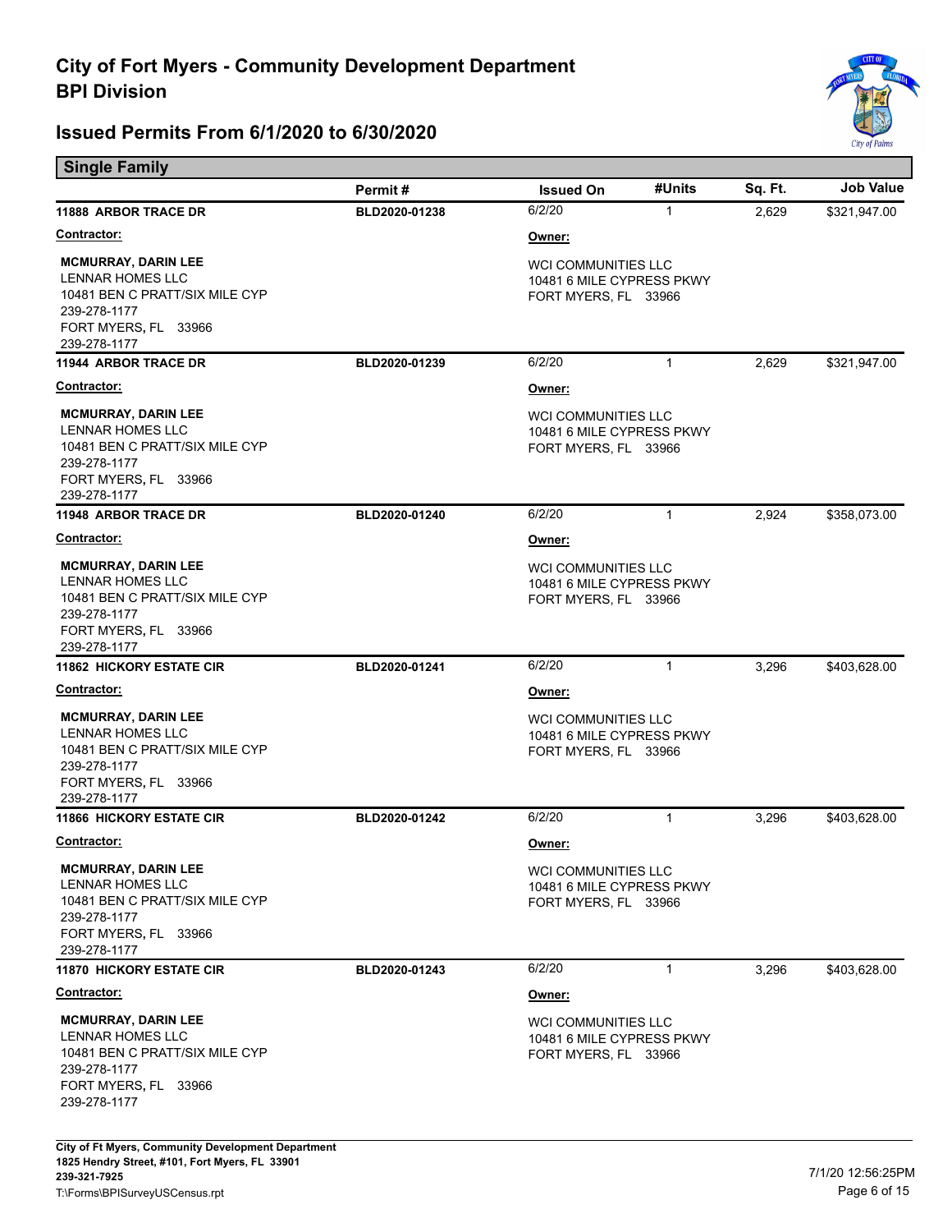

| <b>Single Family</b>                                                                                                                     |               |                                                                                 |              |         |                  |
|------------------------------------------------------------------------------------------------------------------------------------------|---------------|---------------------------------------------------------------------------------|--------------|---------|------------------|
|                                                                                                                                          | Permit#       | <b>Issued On</b>                                                                | #Units       | Sq. Ft. | <b>Job Value</b> |
| <b>11888 ARBOR TRACE DR</b>                                                                                                              | BLD2020-01238 | 6/2/20                                                                          | $\mathbf{1}$ | 2,629   | \$321,947.00     |
| <u>Contractor:</u>                                                                                                                       |               | Owner:                                                                          |              |         |                  |
| <b>MCMURRAY, DARIN LEE</b><br>LENNAR HOMES LLC<br>10481 BEN C PRATT/SIX MILE CYP<br>239-278-1177<br>FORT MYERS, FL 33966<br>239-278-1177 |               | <b>WCI COMMUNITIES LLC</b><br>10481 6 MILE CYPRESS PKWY<br>FORT MYERS, FL 33966 |              |         |                  |
| <b>11944 ARBOR TRACE DR</b>                                                                                                              | BLD2020-01239 | 6/2/20                                                                          | $\mathbf{1}$ | 2,629   | \$321,947.00     |
| <u>Contractor:</u>                                                                                                                       |               | Owner:                                                                          |              |         |                  |
| <b>MCMURRAY, DARIN LEE</b><br>LENNAR HOMES LLC<br>10481 BEN C PRATT/SIX MILE CYP<br>239-278-1177<br>FORT MYERS, FL 33966<br>239-278-1177 |               | <b>WCI COMMUNITIES LLC</b><br>10481 6 MILE CYPRESS PKWY<br>FORT MYERS, FL 33966 |              |         |                  |
| <b>11948 ARBOR TRACE DR</b>                                                                                                              | BLD2020-01240 | 6/2/20                                                                          | $\mathbf{1}$ | 2,924   | \$358,073.00     |
| Contractor:                                                                                                                              |               | Owner:                                                                          |              |         |                  |
| <b>MCMURRAY, DARIN LEE</b><br>LENNAR HOMES LLC<br>10481 BEN C PRATT/SIX MILE CYP<br>239-278-1177<br>FORT MYERS, FL 33966<br>239-278-1177 |               | <b>WCI COMMUNITIES LLC</b><br>10481 6 MILE CYPRESS PKWY<br>FORT MYERS, FL 33966 |              |         |                  |
| <b>11862 HICKORY ESTATE CIR</b>                                                                                                          | BLD2020-01241 | 6/2/20                                                                          | $\mathbf{1}$ | 3,296   | \$403,628.00     |
| <u>Contractor:</u>                                                                                                                       |               | Owner:                                                                          |              |         |                  |
| <b>MCMURRAY, DARIN LEE</b><br>LENNAR HOMES LLC<br>10481 BEN C PRATT/SIX MILE CYP<br>239-278-1177<br>FORT MYERS, FL 33966<br>239-278-1177 |               | WCI COMMUNITIES LLC<br>10481 6 MILE CYPRESS PKWY<br>FORT MYERS, FL 33966        |              |         |                  |
| <b>11866 HICKORY ESTATE CIR</b>                                                                                                          | BLD2020-01242 | 6/2/20                                                                          | $\mathbf{1}$ | 3,296   | \$403,628.00     |
| <b>Contractor:</b>                                                                                                                       |               | Owner:                                                                          |              |         |                  |
| <b>MCMURRAY, DARIN LEE</b><br>LENNAR HOMES LLC<br>10481 BEN C PRATT/SIX MILE CYP<br>239-278-1177<br>FORT MYERS, FL 33966<br>239-278-1177 |               | <b>WCI COMMUNITIES LLC</b><br>10481 6 MILE CYPRESS PKWY<br>FORT MYERS, FL 33966 |              |         |                  |
| <b>11870 HICKORY ESTATE CIR</b>                                                                                                          | BLD2020-01243 | 6/2/20                                                                          | $\mathbf{1}$ | 3,296   | \$403,628.00     |
| <b>Contractor:</b>                                                                                                                       |               | Owner:                                                                          |              |         |                  |
| <b>MCMURRAY, DARIN LEE</b><br>LENNAR HOMES LLC<br>10481 BEN C PRATT/SIX MILE CYP<br>239-278-1177<br>FORT MYERS, FL 33966<br>239-278-1177 |               | <b>WCI COMMUNITIES LLC</b><br>10481 6 MILE CYPRESS PKWY<br>FORT MYERS, FL 33966 |              |         |                  |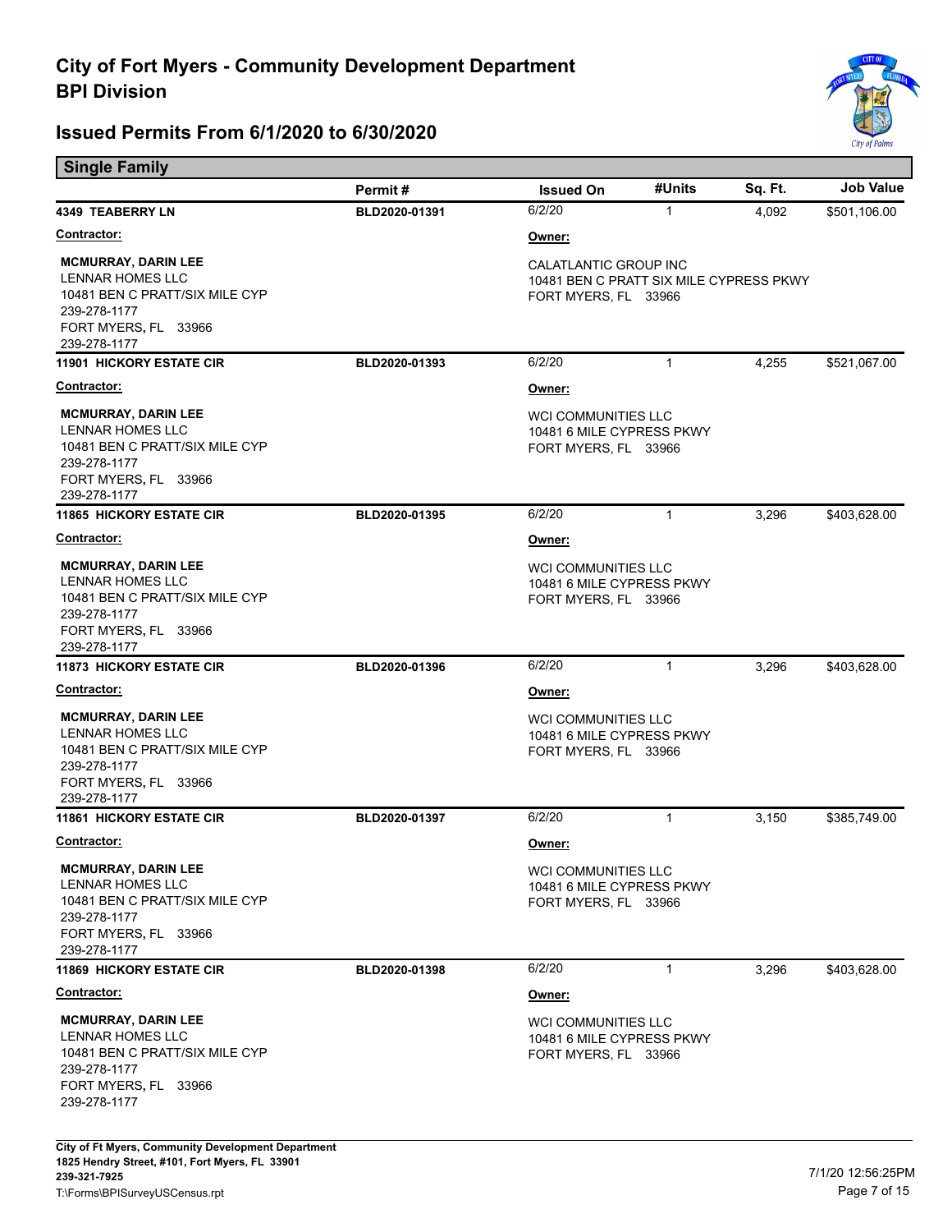

| <b>Single Family</b>                                                                                                                            |               |                                                                                                 |              |         |                  |
|-------------------------------------------------------------------------------------------------------------------------------------------------|---------------|-------------------------------------------------------------------------------------------------|--------------|---------|------------------|
|                                                                                                                                                 | Permit#       | <b>Issued On</b>                                                                                | #Units       | Sq. Ft. | <b>Job Value</b> |
| <b>4349 TEABERRY LN</b>                                                                                                                         | BLD2020-01391 | 6/2/20                                                                                          | $\mathbf{1}$ | 4,092   | \$501,106.00     |
| <b>Contractor:</b>                                                                                                                              |               | Owner:                                                                                          |              |         |                  |
| <b>MCMURRAY, DARIN LEE</b><br>LENNAR HOMES LLC<br>10481 BEN C PRATT/SIX MILE CYP<br>239-278-1177<br>FORT MYERS, FL 33966<br>239-278-1177        |               | <b>CALATLANTIC GROUP INC</b><br>10481 BEN C PRATT SIX MILE CYPRESS PKWY<br>FORT MYERS, FL 33966 |              |         |                  |
| <b>11901 HICKORY ESTATE CIR</b>                                                                                                                 | BLD2020-01393 | 6/2/20                                                                                          | $\mathbf{1}$ | 4,255   | \$521,067.00     |
| <b>Contractor:</b>                                                                                                                              |               | <u>Owner:</u>                                                                                   |              |         |                  |
| <b>MCMURRAY, DARIN LEE</b><br>LENNAR HOMES LLC<br>10481 BEN C PRATT/SIX MILE CYP<br>239-278-1177<br>FORT MYERS, FL 33966<br>239-278-1177        |               | <b>WCI COMMUNITIES LLC</b><br>10481 6 MILE CYPRESS PKWY<br>FORT MYERS, FL 33966                 |              |         |                  |
| <b>11865 HICKORY ESTATE CIR</b>                                                                                                                 | BLD2020-01395 | 6/2/20                                                                                          | $\mathbf{1}$ | 3,296   | \$403,628.00     |
| <b>Contractor:</b>                                                                                                                              |               | Owner:                                                                                          |              |         |                  |
| <b>MCMURRAY, DARIN LEE</b><br><b>LENNAR HOMES LLC</b><br>10481 BEN C PRATT/SIX MILE CYP<br>239-278-1177<br>FORT MYERS, FL 33966<br>239-278-1177 |               | <b>WCI COMMUNITIES LLC</b><br>10481 6 MILE CYPRESS PKWY<br>FORT MYERS, FL 33966                 |              |         |                  |
| <b>11873 HICKORY ESTATE CIR</b>                                                                                                                 | BLD2020-01396 | 6/2/20                                                                                          | $\mathbf{1}$ | 3,296   | \$403,628.00     |
| <u>Contractor:</u>                                                                                                                              |               | Owner:                                                                                          |              |         |                  |
| <b>MCMURRAY, DARIN LEE</b><br>LENNAR HOMES LLC<br>10481 BEN C PRATT/SIX MILE CYP<br>239-278-1177<br>FORT MYERS, FL 33966<br>239-278-1177        |               | <b>WCI COMMUNITIES LLC</b><br>10481 6 MILE CYPRESS PKWY<br>FORT MYERS, FL 33966                 |              |         |                  |
| <b>11861 HICKORY ESTATE CIR</b>                                                                                                                 | BLD2020-01397 | 6/2/20                                                                                          | $\mathbf{1}$ | 3,150   | \$385,749.00     |
| Contractor:                                                                                                                                     |               | Owner:                                                                                          |              |         |                  |
| <b>MCMURRAY, DARIN LEE</b><br>LENNAR HOMES LLC<br>10481 BEN C PRATT/SIX MILE CYP<br>239-278-1177<br>FORT MYERS, FL 33966<br>239-278-1177        |               | <b>WCI COMMUNITIES LLC</b><br>10481 6 MILE CYPRESS PKWY<br>FORT MYERS, FL 33966                 |              |         |                  |
| <b>11869 HICKORY ESTATE CIR</b>                                                                                                                 | BLD2020-01398 | 6/2/20                                                                                          | $\mathbf{1}$ | 3,296   | \$403,628.00     |
| <b>Contractor:</b>                                                                                                                              |               | <u>Owner:</u>                                                                                   |              |         |                  |
| <b>MCMURRAY, DARIN LEE</b><br><b>LENNAR HOMES LLC</b><br>10481 BEN C PRATT/SIX MILE CYP<br>239-278-1177<br>FORT MYERS, FL 33966<br>239-278-1177 |               | <b>WCI COMMUNITIES LLC</b><br>10481 6 MILE CYPRESS PKWY<br>FORT MYERS, FL 33966                 |              |         |                  |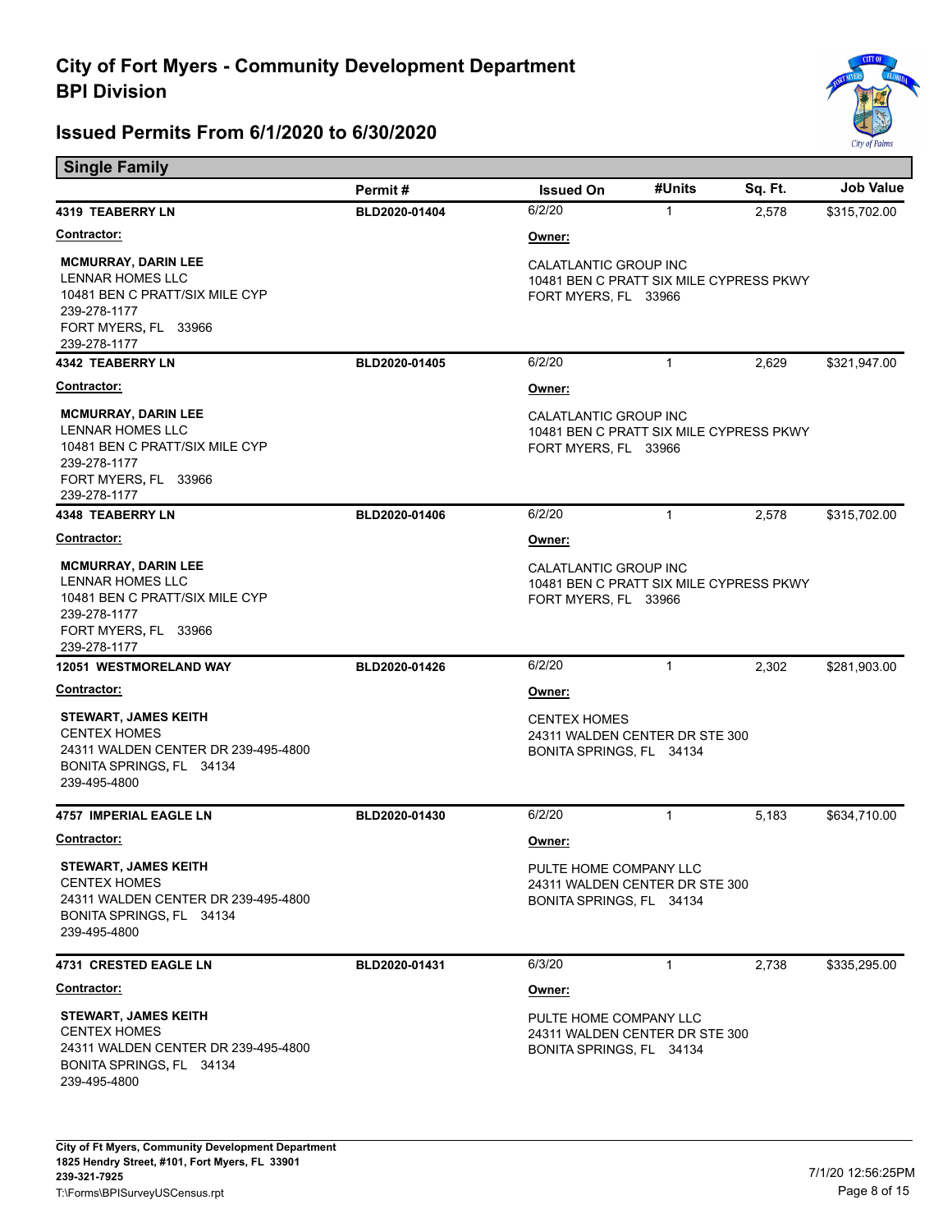

| <b>Single Family</b>                                                                                                                     |               |                                                                                          |              |         |                  |
|------------------------------------------------------------------------------------------------------------------------------------------|---------------|------------------------------------------------------------------------------------------|--------------|---------|------------------|
|                                                                                                                                          | Permit#       | <b>Issued On</b>                                                                         | #Units       | Sq. Ft. | <b>Job Value</b> |
| 4319 TEABERRY LN                                                                                                                         | BLD2020-01404 | 6/2/20                                                                                   | $\mathbf{1}$ | 2,578   | \$315,702.00     |
| <u>Contractor:</u>                                                                                                                       |               | Owner:                                                                                   |              |         |                  |
| <b>MCMURRAY, DARIN LEE</b><br>LENNAR HOMES LLC<br>10481 BEN C PRATT/SIX MILE CYP<br>239-278-1177<br>FORT MYERS, FL 33966<br>239-278-1177 |               | CALATLANTIC GROUP INC<br>10481 BEN C PRATT SIX MILE CYPRESS PKWY<br>FORT MYERS, FL 33966 |              |         |                  |
| <b>4342 TEABERRY LN</b>                                                                                                                  | BLD2020-01405 | 6/2/20                                                                                   | $\mathbf{1}$ | 2,629   | \$321,947.00     |
| <b>Contractor:</b>                                                                                                                       |               | Owner:                                                                                   |              |         |                  |
| <b>MCMURRAY, DARIN LEE</b><br>LENNAR HOMES LLC<br>10481 BEN C PRATT/SIX MILE CYP<br>239-278-1177<br>FORT MYERS, FL 33966<br>239-278-1177 |               | CALATLANTIC GROUP INC<br>10481 BEN C PRATT SIX MILE CYPRESS PKWY<br>FORT MYERS, FL 33966 |              |         |                  |
| <b>4348 TEABERRY LN</b>                                                                                                                  | BLD2020-01406 | 6/2/20                                                                                   | $\mathbf{1}$ | 2,578   | \$315,702.00     |
| <b>Contractor:</b>                                                                                                                       |               | Owner:                                                                                   |              |         |                  |
| <b>MCMURRAY, DARIN LEE</b><br>LENNAR HOMES LLC<br>10481 BEN C PRATT/SIX MILE CYP<br>239-278-1177<br>FORT MYERS, FL 33966<br>239-278-1177 |               | CALATLANTIC GROUP INC<br>10481 BEN C PRATT SIX MILE CYPRESS PKWY<br>FORT MYERS, FL 33966 |              |         |                  |
| <b>12051 WESTMORELAND WAY</b>                                                                                                            | BLD2020-01426 | 6/2/20                                                                                   | $\mathbf{1}$ | 2,302   | \$281,903.00     |
| <u>Contractor:</u>                                                                                                                       |               | Owner:                                                                                   |              |         |                  |
| <b>STEWART, JAMES KEITH</b><br><b>CENTEX HOMES</b><br>24311 WALDEN CENTER DR 239-495-4800<br>BONITA SPRINGS, FL 34134<br>239-495-4800    |               | <b>CENTEX HOMES</b><br>24311 WALDEN CENTER DR STE 300<br>BONITA SPRINGS, FL 34134        |              |         |                  |
| <b>4757 IMPERIAL EAGLE LN</b>                                                                                                            | BLD2020-01430 | 6/2/20                                                                                   | $\mathbf{1}$ | 5,183   | \$634,710.00     |
| <b>Contractor:</b>                                                                                                                       |               | Owner:                                                                                   |              |         |                  |
| <b>STEWART, JAMES KEITH</b><br><b>CENTEX HOMES</b><br>24311 WALDEN CENTER DR 239-495-4800<br>BONITA SPRINGS, FL 34134<br>239-495-4800    |               | PULTE HOME COMPANY LLC<br>24311 WALDEN CENTER DR STE 300<br>BONITA SPRINGS, FL 34134     |              |         |                  |
| <b>4731 CRESTED EAGLE LN</b>                                                                                                             | BLD2020-01431 | 6/3/20                                                                                   | $\mathbf{1}$ | 2,738   | \$335,295.00     |
| <u>Contractor:</u>                                                                                                                       |               | Owner:                                                                                   |              |         |                  |
| <b>STEWART, JAMES KEITH</b><br><b>CENTEX HOMES</b><br>24311 WALDEN CENTER DR 239-495-4800<br>BONITA SPRINGS, FL 34134<br>239-495-4800    |               | PULTE HOME COMPANY LLC<br>24311 WALDEN CENTER DR STE 300<br>BONITA SPRINGS, FL 34134     |              |         |                  |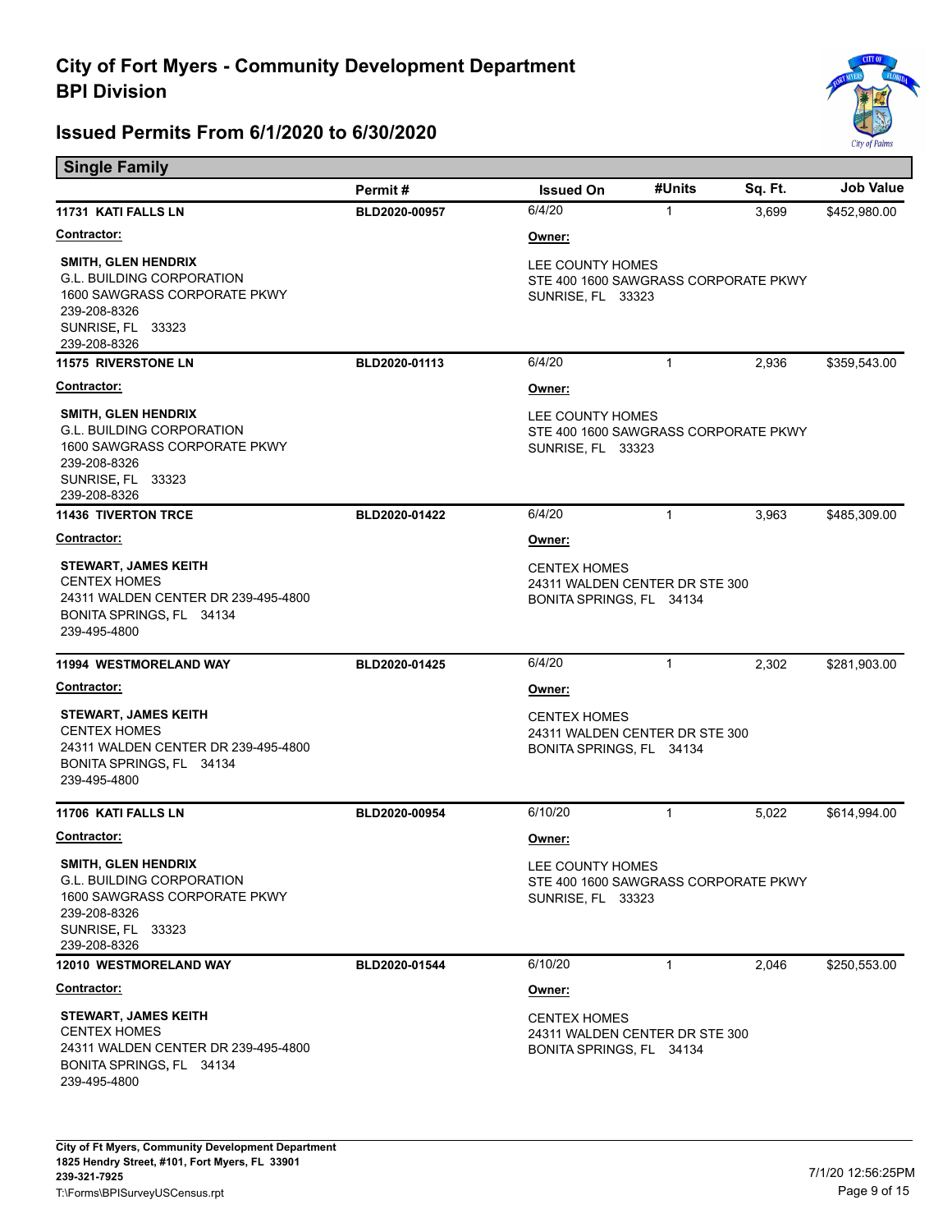

| <b>Single Family</b>                                                                                                                                |               |                                                                                      |              |         |                  |
|-----------------------------------------------------------------------------------------------------------------------------------------------------|---------------|--------------------------------------------------------------------------------------|--------------|---------|------------------|
|                                                                                                                                                     | Permit#       | <b>Issued On</b>                                                                     | #Units       | Sq. Ft. | <b>Job Value</b> |
| 11731 KATI FALLS LN                                                                                                                                 | BLD2020-00957 | 6/4/20                                                                               | 1            | 3,699   | \$452,980.00     |
| <b>Contractor:</b>                                                                                                                                  |               | Owner:                                                                               |              |         |                  |
| <b>SMITH, GLEN HENDRIX</b><br><b>G.L. BUILDING CORPORATION</b><br>1600 SAWGRASS CORPORATE PKWY<br>239-208-8326<br>SUNRISE, FL 33323<br>239-208-8326 |               | LEE COUNTY HOMES<br>STE 400 1600 SAWGRASS CORPORATE PKWY<br>SUNRISE, FL 33323        |              |         |                  |
| <b>11575 RIVERSTONE LN</b>                                                                                                                          | BLD2020-01113 | 6/4/20                                                                               | 1            | 2,936   | \$359,543.00     |
| <b>Contractor:</b>                                                                                                                                  |               | Owner:                                                                               |              |         |                  |
| <b>SMITH, GLEN HENDRIX</b><br><b>G.L. BUILDING CORPORATION</b><br>1600 SAWGRASS CORPORATE PKWY<br>239-208-8326<br>SUNRISE, FL 33323<br>239-208-8326 |               | LEE COUNTY HOMES<br>STE 400 1600 SAWGRASS CORPORATE PKWY<br>SUNRISE, FL 33323        |              |         |                  |
| <b>11436 TIVERTON TRCE</b>                                                                                                                          | BLD2020-01422 | 6/4/20                                                                               | $\mathbf{1}$ | 3,963   | \$485,309.00     |
| <b>Contractor:</b>                                                                                                                                  |               | Owner:                                                                               |              |         |                  |
| <b>STEWART, JAMES KEITH</b><br><b>CENTEX HOMES</b><br>24311 WALDEN CENTER DR 239-495-4800<br>BONITA SPRINGS, FL 34134<br>239-495-4800               |               | <b>CENTEX HOMES</b><br>24311 WALDEN CENTER DR STE 300<br>BONITA SPRINGS, FL 34134    |              |         |                  |
| 11994 WESTMORELAND WAY                                                                                                                              | BLD2020-01425 | 6/4/20                                                                               | $\mathbf{1}$ | 2,302   | \$281,903.00     |
| <b>Contractor:</b>                                                                                                                                  |               | Owner:                                                                               |              |         |                  |
| <b>STEWART, JAMES KEITH</b><br><b>CENTEX HOMES</b><br>24311 WALDEN CENTER DR 239-495-4800<br>BONITA SPRINGS, FL 34134<br>239-495-4800               |               | <b>CENTEX HOMES</b><br>24311 WALDEN CENTER DR STE 300<br>BONITA SPRINGS, FL 34134    |              |         |                  |
| 11706 KATI FALLS LN                                                                                                                                 | BLD2020-00954 | 6/10/20                                                                              | $\mathbf{1}$ | 5,022   | \$614,994.00     |
| Contractor:                                                                                                                                         |               | Owner:                                                                               |              |         |                  |
| SMITH, GLEN HENDRIX<br><b>G.L. BUILDING CORPORATION</b><br>1600 SAWGRASS CORPORATE PKWY<br>239-208-8326<br>SUNRISE, FL 33323<br>239-208-8326        |               | LEE COUNTY HOMES<br>STE 400 1600 SAWGRASS CORPORATE PKWY<br><b>SUNRISE, FL 33323</b> |              |         |                  |
| 12010 WESTMORELAND WAY                                                                                                                              | BLD2020-01544 | 6/10/20                                                                              | 1            | 2,046   | \$250,553.00     |
| <b>Contractor:</b>                                                                                                                                  |               | Owner:                                                                               |              |         |                  |
| <b>STEWART, JAMES KEITH</b><br><b>CENTEX HOMES</b><br>24311 WALDEN CENTER DR 239-495-4800<br>BONITA SPRINGS, FL 34134<br>239-495-4800               |               | <b>CENTEX HOMES</b><br>24311 WALDEN CENTER DR STE 300<br>BONITA SPRINGS, FL 34134    |              |         |                  |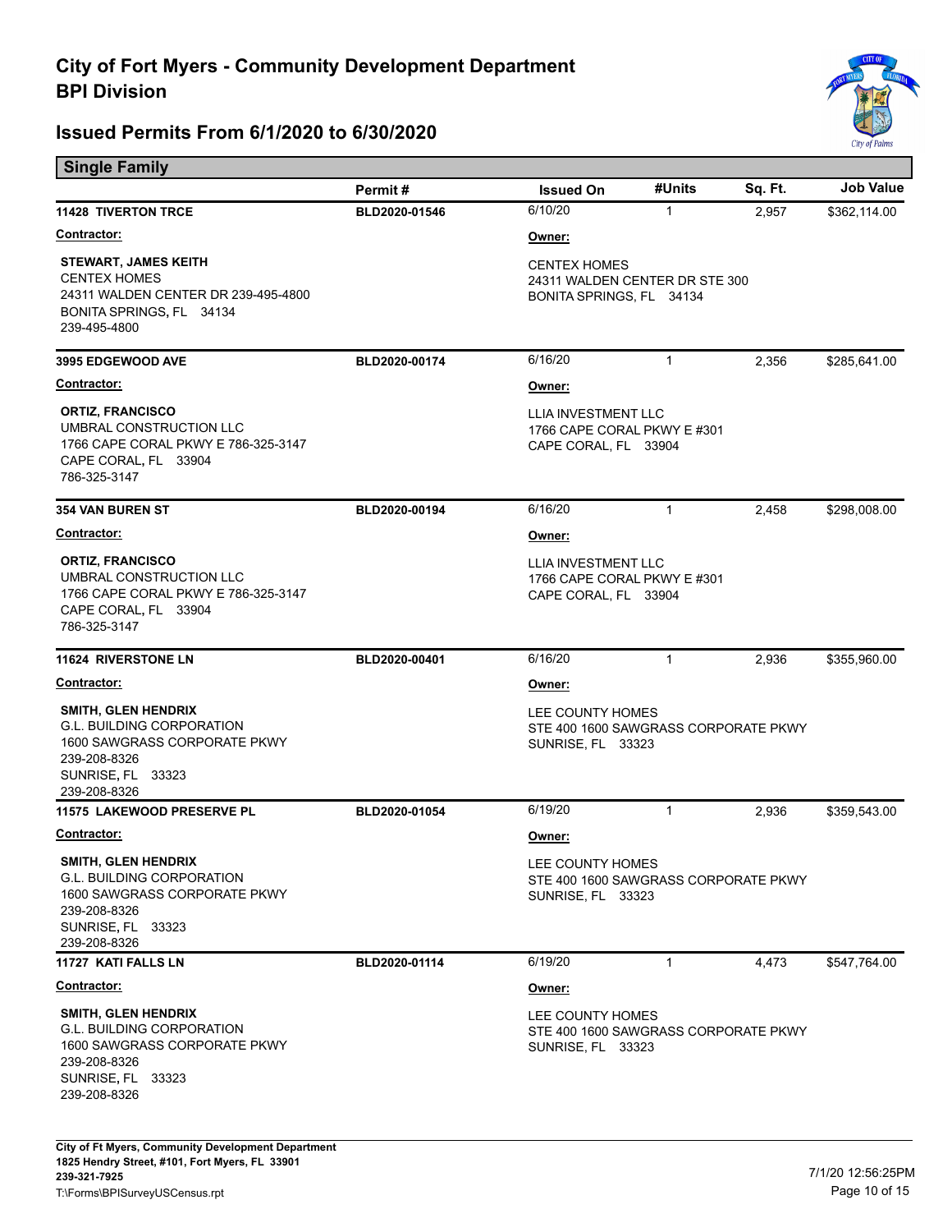

| <b>Single Family</b>                                                                                                                                |               |                                                                                      |              |         |              |  |
|-----------------------------------------------------------------------------------------------------------------------------------------------------|---------------|--------------------------------------------------------------------------------------|--------------|---------|--------------|--|
|                                                                                                                                                     | Permit#       | <b>Issued On</b>                                                                     | #Units       | Sq. Ft. | Job Value    |  |
| <b>11428 TIVERTON TRCE</b>                                                                                                                          | BLD2020-01546 | 6/10/20                                                                              | $\mathbf{1}$ | 2,957   | \$362,114.00 |  |
| <b>Contractor:</b>                                                                                                                                  |               | Owner:                                                                               |              |         |              |  |
| <b>STEWART, JAMES KEITH</b><br><b>CENTEX HOMES</b><br>24311 WALDEN CENTER DR 239-495-4800<br>BONITA SPRINGS, FL 34134<br>239-495-4800               |               | <b>CENTEX HOMES</b><br>24311 WALDEN CENTER DR STE 300<br>BONITA SPRINGS, FL 34134    |              |         |              |  |
| 3995 EDGEWOOD AVE                                                                                                                                   | BLD2020-00174 | 6/16/20                                                                              | 1            | 2,356   | \$285,641.00 |  |
| Contractor:                                                                                                                                         |               | Owner:                                                                               |              |         |              |  |
| <b>ORTIZ, FRANCISCO</b><br>UMBRAL CONSTRUCTION LLC<br>1766 CAPE CORAL PKWY E 786-325-3147<br>CAPE CORAL, FL 33904<br>786-325-3147                   |               | LLIA INVESTMENT LLC<br>1766 CAPE CORAL PKWY E #301<br>CAPE CORAL, FL 33904           |              |         |              |  |
| <b>354 VAN BUREN ST</b>                                                                                                                             | BLD2020-00194 | 6/16/20                                                                              | $\mathbf{1}$ | 2,458   | \$298,008.00 |  |
| Contractor:                                                                                                                                         |               | Owner:                                                                               |              |         |              |  |
| <b>ORTIZ, FRANCISCO</b><br>UMBRAL CONSTRUCTION LLC<br>1766 CAPE CORAL PKWY E 786-325-3147<br>CAPE CORAL, FL 33904<br>786-325-3147                   |               | LLIA INVESTMENT LLC<br>1766 CAPE CORAL PKWY E #301<br>CAPE CORAL, FL 33904           |              |         |              |  |
| <b>11624 RIVERSTONE LN</b>                                                                                                                          | BLD2020-00401 | 6/16/20                                                                              | 1            | 2,936   | \$355,960.00 |  |
| <b>Contractor:</b>                                                                                                                                  |               | Owner:                                                                               |              |         |              |  |
| <b>SMITH, GLEN HENDRIX</b><br><b>G.L. BUILDING CORPORATION</b><br>1600 SAWGRASS CORPORATE PKWY<br>239-208-8326<br>SUNRISE, FL 33323<br>239-208-8326 |               | LEE COUNTY HOMES<br>STE 400 1600 SAWGRASS CORPORATE PKWY<br>SUNRISE, FL 33323        |              |         |              |  |
| <b>11575 LAKEWOOD PRESERVE PL</b>                                                                                                                   | BLD2020-01054 | 6/19/20                                                                              | 1            | 2,936   | \$359,543.00 |  |
| Contractor:                                                                                                                                         |               | Owner:                                                                               |              |         |              |  |
| SMITH, GLEN HENDRIX<br><b>G.L. BUILDING CORPORATION</b><br>1600 SAWGRASS CORPORATE PKWY<br>239-208-8326<br>SUNRISE, FL 33323<br>239-208-8326        |               | LEE COUNTY HOMES<br>STE 400 1600 SAWGRASS CORPORATE PKWY<br><b>SUNRISE, FL 33323</b> |              |         |              |  |
| 11727 KATI FALLS LN                                                                                                                                 | BLD2020-01114 | 6/19/20                                                                              | $\mathbf{1}$ | 4,473   | \$547,764.00 |  |
| <u>Contractor:</u>                                                                                                                                  |               | Owner:                                                                               |              |         |              |  |
| SMITH, GLEN HENDRIX<br><b>G.L. BUILDING CORPORATION</b><br>1600 SAWGRASS CORPORATE PKWY<br>239-208-8326<br>SUNRISE, FL 33323<br>239-208-8326        |               | LEE COUNTY HOMES<br>STE 400 1600 SAWGRASS CORPORATE PKWY<br><b>SUNRISE, FL 33323</b> |              |         |              |  |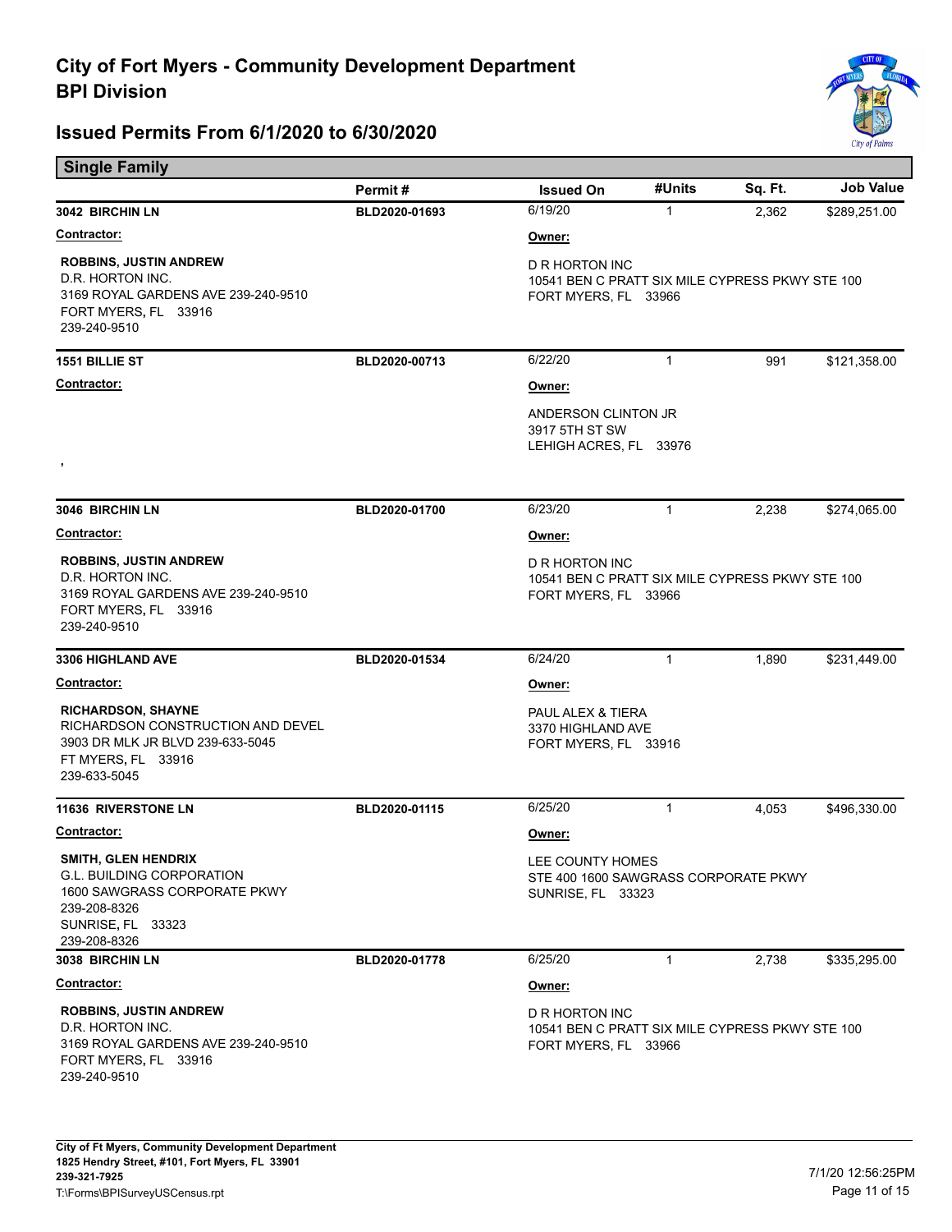

| <b>Single Family</b>                                                                                                                         |               |                                                                                           |              |         |              |  |
|----------------------------------------------------------------------------------------------------------------------------------------------|---------------|-------------------------------------------------------------------------------------------|--------------|---------|--------------|--|
|                                                                                                                                              | Permit#       | <b>Issued On</b>                                                                          | #Units       | Sq. Ft. | Job Value    |  |
| 3042 BIRCHIN LN                                                                                                                              | BLD2020-01693 | 6/19/20                                                                                   | $\mathbf{1}$ | 2,362   | \$289,251.00 |  |
| <u>Contractor:</u>                                                                                                                           |               | Owner:                                                                                    |              |         |              |  |
| <b>ROBBINS, JUSTIN ANDREW</b><br>D.R. HORTON INC.<br>3169 ROYAL GARDENS AVE 239-240-9510<br>FORT MYERS, FL 33916<br>239-240-9510             |               | D R HORTON INC<br>10541 BEN C PRATT SIX MILE CYPRESS PKWY STE 100<br>FORT MYERS, FL 33966 |              |         |              |  |
| <b>1551 BILLIE ST</b>                                                                                                                        | BLD2020-00713 | 6/22/20                                                                                   | $\mathbf{1}$ | 991     | \$121,358.00 |  |
| Contractor:                                                                                                                                  |               | Owner:                                                                                    |              |         |              |  |
| ,                                                                                                                                            |               | ANDERSON CLINTON JR<br>3917 5TH ST SW<br>LEHIGH ACRES, FL 33976                           |              |         |              |  |
| 3046 BIRCHIN LN                                                                                                                              | BLD2020-01700 | 6/23/20                                                                                   | $\mathbf{1}$ | 2,238   | \$274,065.00 |  |
| <b>Contractor:</b>                                                                                                                           |               | Owner:                                                                                    |              |         |              |  |
| <b>ROBBINS, JUSTIN ANDREW</b><br>D.R. HORTON INC.<br>3169 ROYAL GARDENS AVE 239-240-9510<br>FORT MYERS, FL 33916<br>239-240-9510             |               | D R HORTON INC<br>10541 BEN C PRATT SIX MILE CYPRESS PKWY STE 100<br>FORT MYERS, FL 33966 |              |         |              |  |
| 3306 HIGHLAND AVE                                                                                                                            | BLD2020-01534 | 6/24/20                                                                                   | $\mathbf{1}$ | 1,890   | \$231,449.00 |  |
| <u>Contractor:</u>                                                                                                                           |               | Owner:                                                                                    |              |         |              |  |
| <b>RICHARDSON, SHAYNE</b><br>RICHARDSON CONSTRUCTION AND DEVEL<br>3903 DR MLK JR BLVD 239-633-5045<br>FT MYERS, FL 33916<br>239-633-5045     |               | PAUL ALEX & TIERA<br>3370 HIGHLAND AVE<br>FORT MYERS, FL 33916                            |              |         |              |  |
| <b>11636 RIVERSTONE LN</b>                                                                                                                   | BLD2020-01115 | 6/25/20                                                                                   | $\mathbf{1}$ | 4,053   | \$496,330.00 |  |
| Contractor:                                                                                                                                  |               | Owner:                                                                                    |              |         |              |  |
| SMITH, GLEN HENDRIX<br><b>G.L. BUILDING CORPORATION</b><br>1600 SAWGRASS CORPORATE PKWY<br>239-208-8326<br>SUNRISE, FL 33323<br>239-208-8326 |               | LEE COUNTY HOMES<br>STE 400 1600 SAWGRASS CORPORATE PKWY<br><b>SUNRISE, FL 33323</b>      |              |         |              |  |
| 3038 BIRCHIN LN                                                                                                                              | BLD2020-01778 | 6/25/20                                                                                   | $\mathbf{1}$ | 2,738   | \$335,295.00 |  |
| <u>Contractor:</u>                                                                                                                           |               | Owner:                                                                                    |              |         |              |  |
| <b>ROBBINS, JUSTIN ANDREW</b><br>D.R. HORTON INC.<br>3169 ROYAL GARDENS AVE 239-240-9510<br>FORT MYERS, FL 33916<br>239-240-9510             |               | D R HORTON INC<br>10541 BEN C PRATT SIX MILE CYPRESS PKWY STE 100<br>FORT MYERS, FL 33966 |              |         |              |  |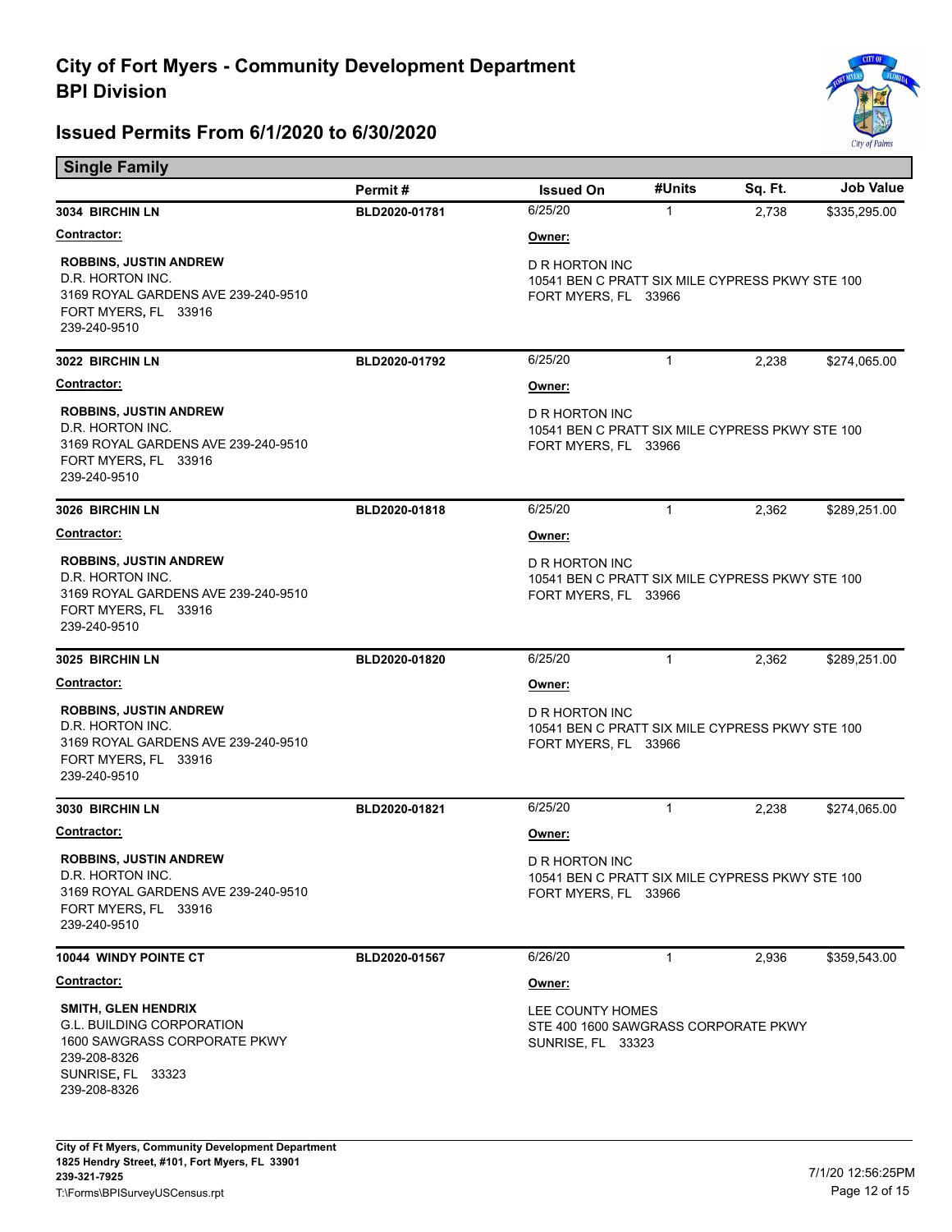

| <b>Single Family</b>                                                                                                                |               |                                                                                           |              |         |                  |  |
|-------------------------------------------------------------------------------------------------------------------------------------|---------------|-------------------------------------------------------------------------------------------|--------------|---------|------------------|--|
|                                                                                                                                     | Permit#       | <b>Issued On</b>                                                                          | #Units       | Sq. Ft. | <b>Job Value</b> |  |
| 3034 BIRCHIN LN                                                                                                                     | BLD2020-01781 | 6/25/20                                                                                   | $\mathbf{1}$ | 2,738   | \$335,295.00     |  |
| <u>Contractor:</u>                                                                                                                  |               | Owner:                                                                                    |              |         |                  |  |
| <b>ROBBINS, JUSTIN ANDREW</b><br>D.R. HORTON INC.<br>3169 ROYAL GARDENS AVE 239-240-9510<br>FORT MYERS, FL 33916<br>239-240-9510    |               | D R HORTON INC<br>10541 BEN C PRATT SIX MILE CYPRESS PKWY STE 100<br>FORT MYERS, FL 33966 |              |         |                  |  |
| 3022 BIRCHIN LN                                                                                                                     | BLD2020-01792 | 6/25/20                                                                                   | $\mathbf{1}$ | 2,238   | \$274,065.00     |  |
| Contractor:                                                                                                                         |               | Owner:                                                                                    |              |         |                  |  |
| <b>ROBBINS, JUSTIN ANDREW</b><br>D.R. HORTON INC.<br>3169 ROYAL GARDENS AVE 239-240-9510<br>FORT MYERS, FL 33916<br>239-240-9510    |               | D R HORTON INC<br>10541 BEN C PRATT SIX MILE CYPRESS PKWY STE 100<br>FORT MYERS, FL 33966 |              |         |                  |  |
| 3026 BIRCHIN LN                                                                                                                     | BLD2020-01818 | 6/25/20                                                                                   | $\mathbf{1}$ | 2,362   | \$289,251.00     |  |
| <b>Contractor:</b>                                                                                                                  |               | Owner:                                                                                    |              |         |                  |  |
| <b>ROBBINS, JUSTIN ANDREW</b><br>D.R. HORTON INC.<br>3169 ROYAL GARDENS AVE 239-240-9510<br>FORT MYERS, FL 33916<br>239-240-9510    |               | D R HORTON INC<br>10541 BEN C PRATT SIX MILE CYPRESS PKWY STE 100<br>FORT MYERS, FL 33966 |              |         |                  |  |
| 3025 BIRCHIN LN                                                                                                                     | BLD2020-01820 | 6/25/20                                                                                   | $\mathbf{1}$ | 2,362   | \$289,251.00     |  |
| <b>Contractor:</b>                                                                                                                  |               | Owner:                                                                                    |              |         |                  |  |
| <b>ROBBINS, JUSTIN ANDREW</b><br>D.R. HORTON INC.<br>3169 ROYAL GARDENS AVE 239-240-9510<br>FORT MYERS, FL 33916<br>239-240-9510    |               | D R HORTON INC<br>10541 BEN C PRATT SIX MILE CYPRESS PKWY STE 100<br>FORT MYERS, FL 33966 |              |         |                  |  |
| 3030 BIRCHIN LN                                                                                                                     | BLD2020-01821 | 6/25/20                                                                                   | $\mathbf{1}$ | 2,238   | \$274,065.00     |  |
| Contractor:                                                                                                                         |               | Owner:                                                                                    |              |         |                  |  |
| <b>ROBBINS, JUSTIN ANDREW</b><br>D.R. HORTON INC.<br>3169 ROYAL GARDENS AVE 239-240-9510<br>FORT MYERS, FL 33916<br>239-240-9510    |               | D R HORTON INC<br>10541 BEN C PRATT SIX MILE CYPRESS PKWY STE 100<br>FORT MYERS, FL 33966 |              |         |                  |  |
| <b>10044 WINDY POINTE CT</b>                                                                                                        | BLD2020-01567 | 6/26/20                                                                                   | $\mathbf{1}$ | 2,936   | \$359,543.00     |  |
| <u>Contractor:</u>                                                                                                                  |               | Owner:                                                                                    |              |         |                  |  |
| <b>SMITH, GLEN HENDRIX</b><br><b>G.L. BUILDING CORPORATION</b><br>1600 SAWGRASS CORPORATE PKWY<br>239-208-8326<br>SUNRISE, FL 33323 |               | LEE COUNTY HOMES<br>STE 400 1600 SAWGRASS CORPORATE PKWY<br>SUNRISE, FL 33323             |              |         |                  |  |
| 239-208-8326                                                                                                                        |               |                                                                                           |              |         |                  |  |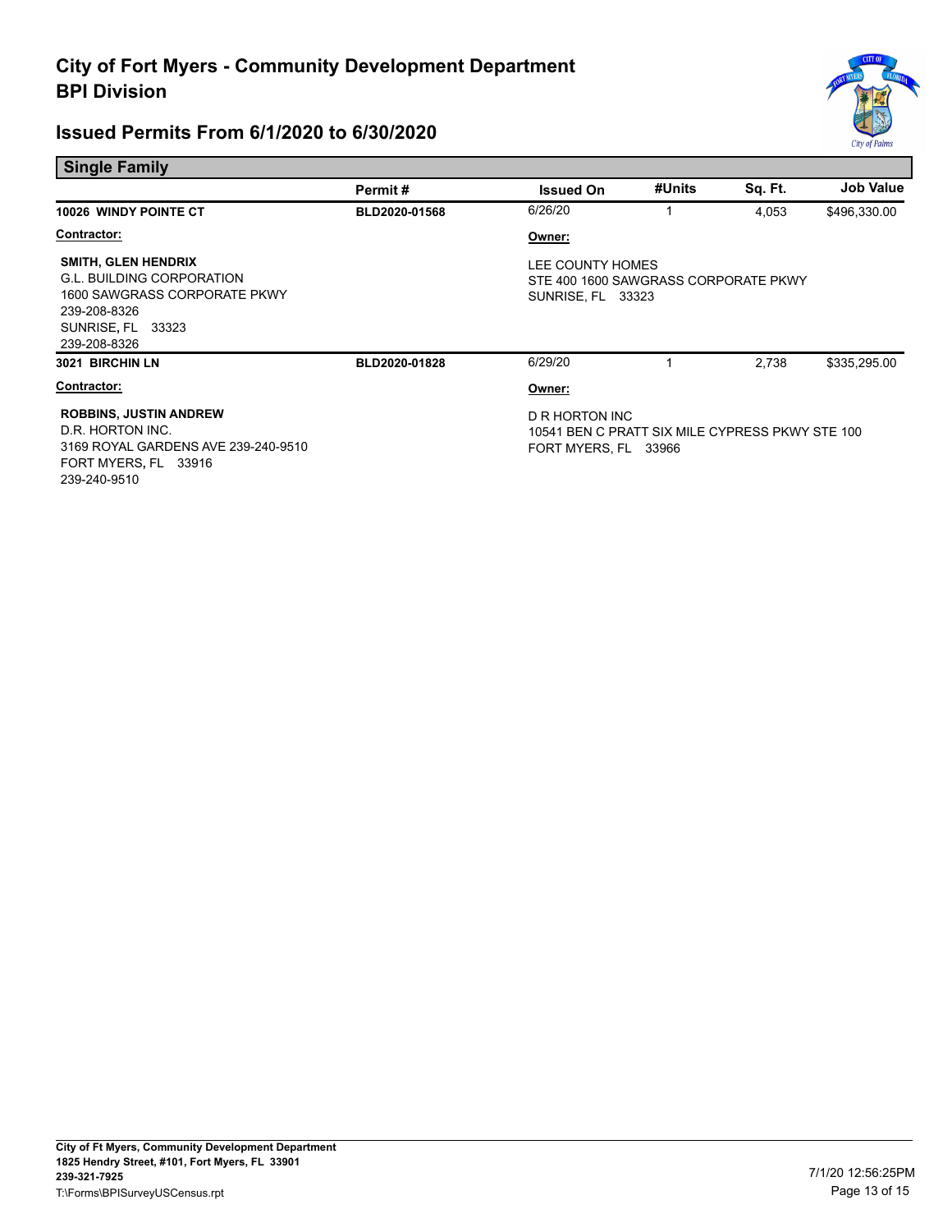

| <b>Single Family</b>                                                                                                                                |               |                                                                                           |        |         |                  |
|-----------------------------------------------------------------------------------------------------------------------------------------------------|---------------|-------------------------------------------------------------------------------------------|--------|---------|------------------|
|                                                                                                                                                     | Permit#       | <b>Issued On</b>                                                                          | #Units | Sq. Ft. | <b>Job Value</b> |
| <b>10026 WINDY POINTE CT</b>                                                                                                                        | BLD2020-01568 | 6/26/20                                                                                   | 1      | 4,053   | \$496,330.00     |
| <b>Contractor:</b>                                                                                                                                  |               | Owner:                                                                                    |        |         |                  |
| <b>SMITH, GLEN HENDRIX</b><br><b>G.L. BUILDING CORPORATION</b><br>1600 SAWGRASS CORPORATE PKWY<br>239-208-8326<br>SUNRISE, FL 33323<br>239-208-8326 |               | LEE COUNTY HOMES<br>STE 400 1600 SAWGRASS CORPORATE PKWY<br><b>SUNRISE, FL 33323</b>      |        |         |                  |
| 3021 BIRCHIN LN                                                                                                                                     | BLD2020-01828 | 6/29/20                                                                                   |        | 2,738   | \$335,295.00     |
| Contractor:                                                                                                                                         |               | Owner:                                                                                    |        |         |                  |
| <b>ROBBINS, JUSTIN ANDREW</b><br>D.R. HORTON INC.<br>3169 ROYAL GARDENS AVE 239-240-9510<br>FORT MYERS, FL 33916<br>239-240-9510                    |               | D R HORTON INC<br>10541 BEN C PRATT SIX MILE CYPRESS PKWY STE 100<br>FORT MYERS, FL 33966 |        |         |                  |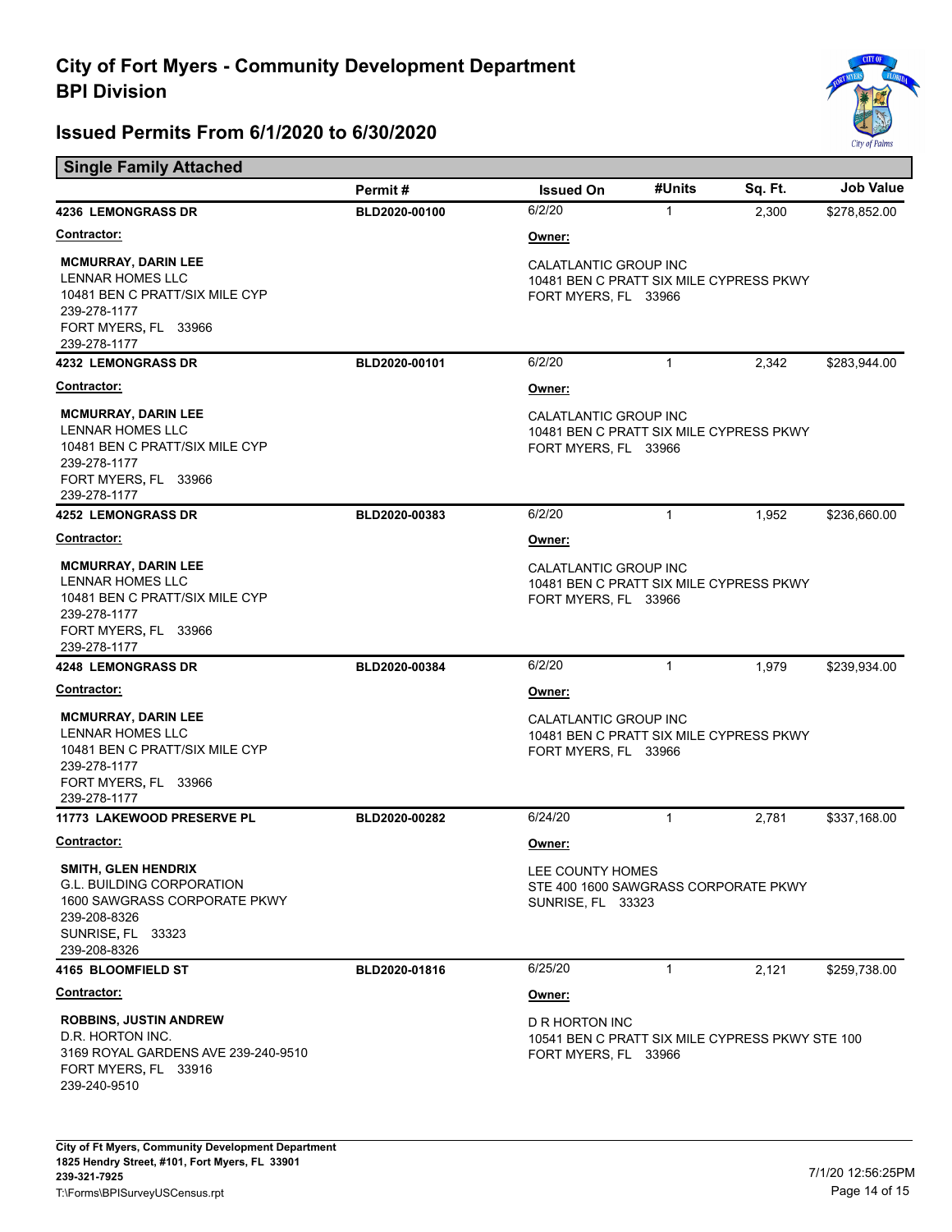

| <b>Single Family Attached</b>                                                                                                                       |               |                                                                                           |              |         |                  |  |
|-----------------------------------------------------------------------------------------------------------------------------------------------------|---------------|-------------------------------------------------------------------------------------------|--------------|---------|------------------|--|
|                                                                                                                                                     | Permit#       | <b>Issued On</b>                                                                          | #Units       | Sq. Ft. | <b>Job Value</b> |  |
| <b>4236 LEMONGRASS DR</b>                                                                                                                           | BLD2020-00100 | 6/2/20                                                                                    | $\mathbf{1}$ | 2,300   | \$278,852.00     |  |
| <u>Contractor:</u>                                                                                                                                  |               | Owner:                                                                                    |              |         |                  |  |
| <b>MCMURRAY, DARIN LEE</b><br>LENNAR HOMES LLC<br>10481 BEN C PRATT/SIX MILE CYP<br>239-278-1177<br>FORT MYERS, FL 33966<br>239-278-1177            |               | CALATLANTIC GROUP INC<br>10481 BEN C PRATT SIX MILE CYPRESS PKWY<br>FORT MYERS, FL 33966  |              |         |                  |  |
| <b>4232 LEMONGRASS DR</b>                                                                                                                           | BLD2020-00101 | 6/2/20                                                                                    | $\mathbf{1}$ | 2,342   | \$283,944.00     |  |
| <b>Contractor:</b>                                                                                                                                  |               | Owner:                                                                                    |              |         |                  |  |
| <b>MCMURRAY, DARIN LEE</b><br><b>LENNAR HOMES LLC</b><br>10481 BEN C PRATT/SIX MILE CYP<br>239-278-1177<br>FORT MYERS, FL 33966<br>239-278-1177     |               | CALATLANTIC GROUP INC<br>10481 BEN C PRATT SIX MILE CYPRESS PKWY<br>FORT MYERS, FL 33966  |              |         |                  |  |
| <b>4252 LEMONGRASS DR</b>                                                                                                                           | BLD2020-00383 | 6/2/20                                                                                    | $\mathbf{1}$ | 1,952   | \$236,660.00     |  |
| <u>Contractor:</u>                                                                                                                                  |               | Owner:                                                                                    |              |         |                  |  |
| <b>MCMURRAY, DARIN LEE</b><br><b>LENNAR HOMES LLC</b><br>10481 BEN C PRATT/SIX MILE CYP<br>239-278-1177<br>FORT MYERS, FL 33966<br>239-278-1177     |               | CALATLANTIC GROUP INC<br>10481 BEN C PRATT SIX MILE CYPRESS PKWY<br>FORT MYERS, FL 33966  |              |         |                  |  |
| <b>4248 LEMONGRASS DR</b>                                                                                                                           | BLD2020-00384 | 6/2/20                                                                                    | $\mathbf{1}$ | 1,979   | \$239,934.00     |  |
| <b>Contractor:</b>                                                                                                                                  |               | Owner:                                                                                    |              |         |                  |  |
| <b>MCMURRAY, DARIN LEE</b><br>LENNAR HOMES LLC<br>10481 BEN C PRATT/SIX MILE CYP<br>239-278-1177<br>FORT MYERS, FL 33966<br>239-278-1177            |               | CALATLANTIC GROUP INC<br>10481 BEN C PRATT SIX MILE CYPRESS PKWY<br>FORT MYERS, FL 33966  |              |         |                  |  |
| 11773 LAKEWOOD PRESERVE PL                                                                                                                          | BLD2020-00282 | 6/24/20                                                                                   | $\mathbf 1$  | 2,781   | \$337,168.00     |  |
| <b>Contractor:</b>                                                                                                                                  |               | Owner:                                                                                    |              |         |                  |  |
| <b>SMITH, GLEN HENDRIX</b><br><b>G.L. BUILDING CORPORATION</b><br>1600 SAWGRASS CORPORATE PKWY<br>239-208-8326<br>SUNRISE, FL 33323<br>239-208-8326 |               | LEE COUNTY HOMES<br>STE 400 1600 SAWGRASS CORPORATE PKWY<br><b>SUNRISE, FL 33323</b>      |              |         |                  |  |
| 4165 BLOOMFIELD ST                                                                                                                                  | BLD2020-01816 | 6/25/20                                                                                   | $\mathbf{1}$ | 2,121   | \$259,738.00     |  |
| <b>Contractor:</b>                                                                                                                                  |               | Owner:                                                                                    |              |         |                  |  |
| <b>ROBBINS, JUSTIN ANDREW</b><br>D.R. HORTON INC.<br>3169 ROYAL GARDENS AVE 239-240-9510<br>FORT MYERS, FL 33916<br>239-240-9510                    |               | D R HORTON INC<br>10541 BEN C PRATT SIX MILE CYPRESS PKWY STE 100<br>FORT MYERS, FL 33966 |              |         |                  |  |